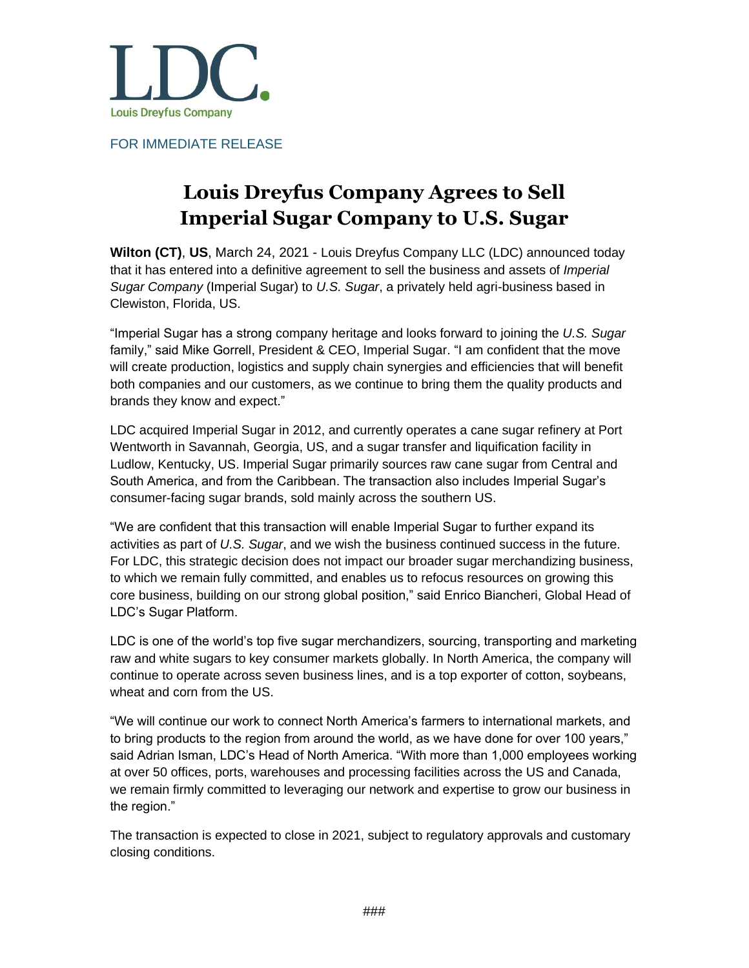

FOR IMMEDIATE RELEASE

## **Louis Dreyfus Company Agrees to Sell Imperial Sugar Company to U.S. Sugar**

**Wilton (CT)**, **US**, March 24, 2021 - [Louis](http://www.westcongroup.com/) [Dreyfus](http://www.ldc.com/) Company LLC (LDC) announced today that it has entered into a definitive agreement to sell the business and assets of *Imperial Sugar Company* (Imperial Sugar) to *U.S. Sugar*, a privately held agri-business based in Clewiston, Florida, US.

"Imperial Sugar has a strong company heritage and looks forward to joining the *U.S. Sugar* family," said Mike Gorrell, President & CEO, Imperial Sugar. "I am confident that the move will create production, logistics and supply chain synergies and efficiencies that will benefit both companies and our customers, as we continue to bring them the quality products and brands they know and expect."

LDC acquired Imperial Sugar in 2012, and currently operates a cane sugar refinery at Port Wentworth in Savannah, Georgia, US, and a sugar transfer and liquification facility in Ludlow, Kentucky, US. Imperial Sugar primarily sources raw cane sugar from Central and South America, and from the Caribbean. The transaction also includes Imperial Sugar's consumer-facing sugar brands, sold mainly across the southern US.

"We are confident that this transaction will enable Imperial Sugar to further expand its activities as part of *U.S. Sugar*, and we wish the business continued success in the future. For LDC, this strategic decision does not impact our broader sugar merchandizing business, to which we remain fully committed, and enables us to refocus resources on growing this core business, building on our strong global position," said Enrico Biancheri, Global Head of LDC's Sugar Platform.

LDC is one of the world's top five sugar merchandizers, sourcing, transporting and marketing raw and white sugars to key consumer markets globally. In North America, the company will continue to operate across seven business lines, and is a top exporter of cotton, soybeans, wheat and corn from the US.

"We will continue our work to connect North America's farmers to international markets, and to bring products to the region from around the world, as we have done for over 100 years," said Adrian Isman, LDC's Head of North America. "With more than 1,000 employees working at over 50 offices, ports, warehouses and processing facilities across the US and Canada, we remain firmly committed to leveraging our network and expertise to grow our business in the region."

The transaction is expected to close in 2021, subject to regulatory approvals and customary closing conditions.